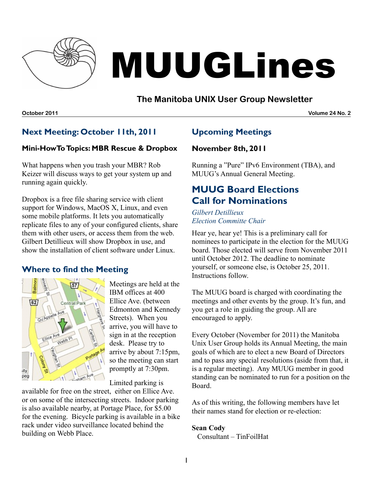

# MUUGLines

# **The Manitoba UNIX User Group Newsletter**

**October 2011 Volume 24 No. 2**

# **Next Meeting: October 11th, 2011**

## **Mini-HowToTopics: MBR Rescue & Dropbox**

What happens when you trash your MBR? Rob Keizer will discuss ways to get your system up and running again quickly.

Dropbox is a free file sharing service with client support for Windows, MacOS X, Linux, and even some mobile platforms. It lets you automatically replicate files to any of your configured clients, share them with other users, or access them from the web. Gilbert Detillieux will show Dropbox in use, and show the installation of client software under Linux.

# **Where to find the Meeting**



Meetings are held at the IBM offices at 400 Ellice Ave. (between Edmonton and Kennedy Streets). When you arrive, you will have to sign in at the reception desk. Please try to arrive by about 7:15pm, so the meeting can start promptly at 7:30pm.

Limited parking is

available for free on the street, either on Ellice Ave. or on some of the intersecting streets. Indoor parking is also available nearby, at Portage Place, for \$5.00 for the evening. Bicycle parking is available in a bike rack under video surveillance located behind the building on Webb Place.

# **Upcoming Meetings**

## **November 8th, 2011**

Running a "Pure" IPv6 Environment (TBA), and MUUG's Annual General Meeting.

# **MUUG Board Elections Call for Nominations**

*Gilbert Detillieux Election Committe Chair*

Hear ye, hear ye! This is a preliminary call for nominees to participate in the election for the MUUG board. Those elected will serve from November 2011 until October 2012. The deadline to nominate yourself, or someone else, is October 25, 2011. Instructions follow.

The MUUG board is charged with coordinating the meetings and other events by the group. It's fun, and you get a role in guiding the group. All are encouraged to apply.

Every October (November for 2011) the Manitoba Unix User Group holds its Annual Meeting, the main goals of which are to elect a new Board of Directors and to pass any special resolutions (aside from that, it is a regular meeting). Any MUUG member in good standing can be nominated to run for a position on the Board.

As of this writing, the following members have let their names stand for election or re-election:

## **Sean Cody**

Consultant – TinFoilHat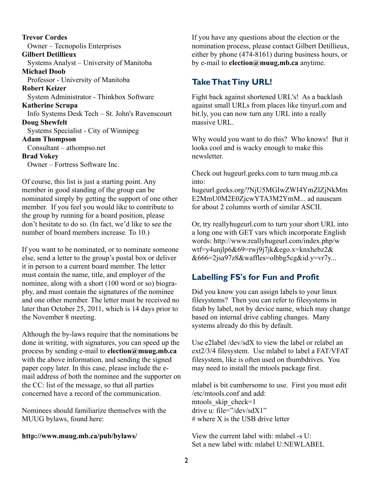**Trevor Cordes** Owner – Tecnopolis Enterprises **Gilbert Detillieux** Systems Analyst – University of Manitoba **Michael Doob** Professor - University of Manitoba **Robert Keizer** System Administrator - Thinkbox Software **Katherine Scrupa** Info Systems Desk Tech – St. John's Ravenscourt **Doug Shewfelt** Systems Specialist - City of Winnipeg **Adam Thompson** Consultant – athompso.net **Brad Vokey** Owner – Fortress Software Inc.

Of course, this list is just a starting point. Any member in good standing of the group can be nominated simply by getting the support of one other member. If you feel you would like to contribute to the group by running for a board position, please don't hesitate to do so. (In fact, we'd like to see the number of board members increase. To 10.)

If you want to be nominated, or to nominate someone else, send a letter to the group's postal box or deliver it in person to a current board member. The letter must contain the name, title, and employer of the nominee, along with a short (100 word or so) biography, and must contain the signatures of the nominee and one other member. The letter must be received no later than October 25, 2011, which is 14 days prior to the November 8 meeting.

Although the by-laws require that the nominations be done in writing, with signatures, you can speed up the process by sending e-mail to **election@muug.mb.ca** with the above information, and sending the signed paper copy later. In this case, please include the email address of both the nominee and the supporter on the CC: list of the message, so that all parties concerned have a record of the communication.

Nominees should familiarize themselves with the MUUG bylaws, found here:

## **<http://www.muug.mb.ca/pub/bylaws/>**

If you have any questions about the election or the nomination process, please contact Gilbert Detillieux, either by phone (474-8161) during business hours, or by e-mail to **election@muug.mb.ca** anytime.

## **Take That Tiny URL!**

Fight back against shortened URL's! As a backlash against small URLs from places like tinyurl.com and bit.ly, you can now turn any URL into a really massive URL.

Why would you want to do this? Who knows! But it looks cool and is wacky enough to make this newsletter.

Check out hugeurl.geeks.com to turn muug.mb.ca into:

hugeurl.geeks.org/?NjU5MGIwZWI4YmZlZjNkMm E2MmU0M2E0ZjcwYTA3M2YmM... ad nauseam for about 2 columns worth of similar ASCII.

Or, try reallyhugeurl.com to turn your short URL into a long one with GET vars which incorporate English words: http://www.reallyhugeurl.com/index.php/w wtf=y4unjlp6&69=rwj9j7jk&ego.x=knxhebz2& &666=2jsa97z8&waffles=olbbg5cg&id.y=vr7y...

# **Labelling FS's for Fun and Profit**

Did you know you can assign labels to your linux filesystems? Then you can refer to filesystems in fstab by label, not by device name, which may change based on internal drive cabling changes. Many systems already do this by default.

Use e2label /dev/sdX to view the label or relabel an ext2/3/4 filesystem. Use mlabel to label a FAT/VFAT filesystem, like is often used on thumbdrives. You may need to install the mtools package first.

mlabel is bit cumbersome to use. First you must edit /etc/mtools.conf and add: mtools skip check=1 drive u: file="/dev/sdX1"  $#$  where X is the USB drive letter

View the current label with: mlabel -s U: Set a new label with: mlabel U:NEWLABEL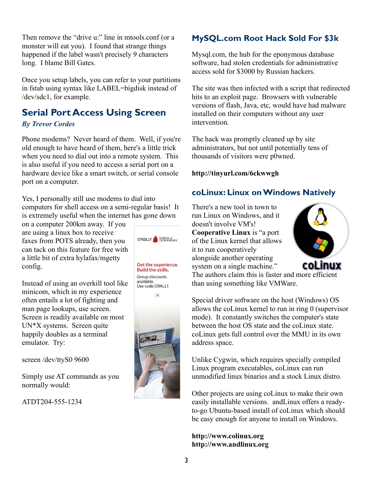Then remove the "drive u:" line in mtools.conf (or a monster will eat you). I found that strange things happened if the label wasn't precisely 9 characters long. I blame Bill Gates.

Once you setup labels, you can refer to your partitions in fstab using syntax like LABEL=bigdisk instead of /dev/sdc1, for example.

# **Serial Port Access Using Screen**

## *By Trevor Cordes*

Phone modems? Never heard of them. Well, if you're old enough to have heard of them, here's a little trick when you need to dial out into a remote system. This is also useful if you need to access a serial port on a hardware device like a smart switch, or serial console port on a computer.

Yes, I personally still use modems to dial into computers for shell access on a semi-regular basis! It is extremely useful when the internet has gone down

on a computer 200km away. If you are using a linux box to receive faxes from POTS already, then you can tack on this feature for free with a little bit of extra hylafax/mgetty config.

Instead of using an overkill tool like minicom, which in my experience often entails a lot of fighting and man page lookups, use screen. Screen is readily available on most UN\*X systems. Screen quite happily doubles as a terminal emulator. Try:

screen /dev/ttyS0 9600

Simply use AT commands as you normally would:

ATDT204-555-1234



# **MySQL.com Root Hack Sold For \$3k**

Mysql.com, the hub for the eponymous database software, had stolen credentials for administrative access sold for \$3000 by Russian hackers.

The site was then infected with a script that redirected hits to an exploit page. Browsers with vulnerable versions of flash, Java, etc, would have had malware installed on their computers without any user intervention.

The hack was promptly cleaned up by site administrators, but not until potentially tens of thousands of visitors were p0wned.

## **<http://tinyurl.com/6ckwwgh>**

# **coLinux: Linux onWindows Natively**

There's a new tool in town to run Linux on Windows, and it doesn't involve VM's! **Cooperative Linux** is "a port of the Linux kernel that allows it to run cooperatively alongside another operating system on a single machine."



The authors claim this is faster and more efficient than using something like VMWare.

Special driver software on the host (Windows) OS allows the coLinux kernel to run in ring 0 (supervisor mode). It constantly switches the computer's state between the host OS state and the coLinux state. coLinux gets full control over the MMU in its own address space.

Unlike Cygwin, which requires specially compiled Linux program executables, coLinux can run unmodified linux binaries and a stock Linux distro.

Other projects are using coLinux to make their own easily installable versions. andLinux offers a readyto-go Ubuntu-based install of coLinux which should be easy enough for anyone to install on Windows.

**[http://www.colinux.org](http://www.colinux.org/) [http://www.andlinux.org](http://www.andlinux.org/)**